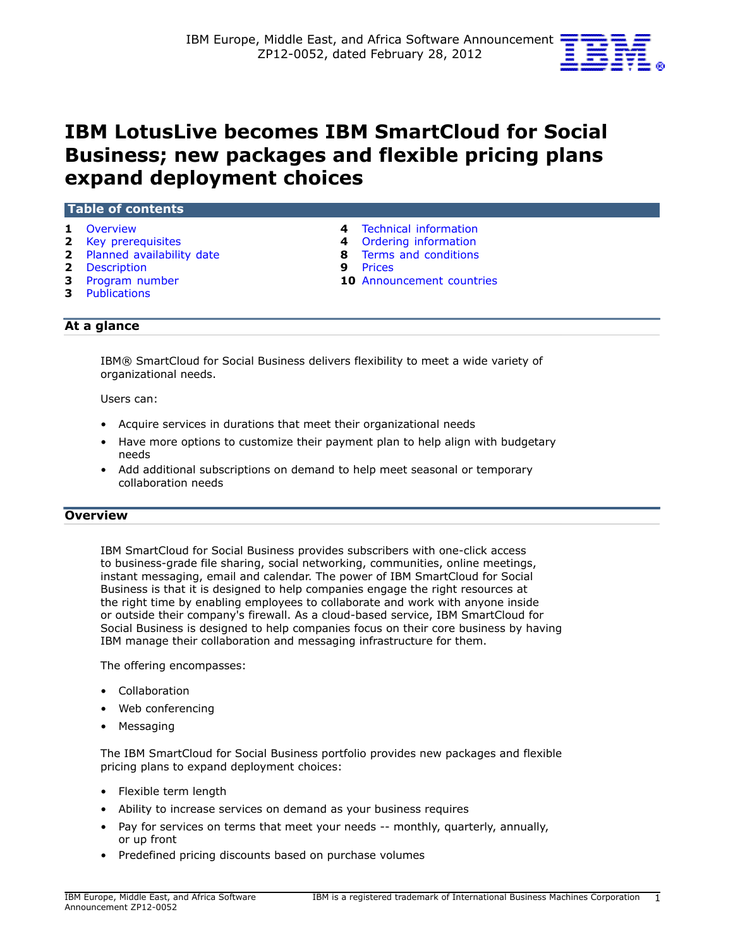

# **IBM LotusLive becomes IBM SmartCloud for Social Business; new packages and flexible pricing plans expand deployment choices**

#### **Table of contents**

- 
- 
- **2** [Planned availability date](#page-1-1) **8** [Terms and conditions](#page-7-0)
- **2** [Description](#page-1-2) **9** [Prices](#page-8-0)
- 
- **3** [Publications](#page-2-1)
- **1** [Overview](#page-0-0) **4** [Technical information](#page-3-0)
- **2** [Key prerequisites](#page-1-0) **4** [Ordering information](#page-3-1) 
	-
	-
- **3** [Program number](#page-2-0) **10** [Announcement countries](#page-9-0)

# **At a glance**

IBM® SmartCloud for Social Business delivers flexibility to meet a wide variety of organizational needs.

Users can:

- Acquire services in durations that meet their organizational needs
- Have more options to customize their payment plan to help align with budgetary needs
- Add additional subscriptions on demand to help meet seasonal or temporary collaboration needs

# <span id="page-0-0"></span>**Overview**

IBM SmartCloud for Social Business provides subscribers with one-click access to business-grade file sharing, social networking, communities, online meetings, instant messaging, email and calendar. The power of IBM SmartCloud for Social Business is that it is designed to help companies engage the right resources at the right time by enabling employees to collaborate and work with anyone inside or outside their company's firewall. As a cloud-based service, IBM SmartCloud for Social Business is designed to help companies focus on their core business by having IBM manage their collaboration and messaging infrastructure for them.

The offering encompasses:

- Collaboration
- Web conferencing
- Messaging

The IBM SmartCloud for Social Business portfolio provides new packages and flexible pricing plans to expand deployment choices:

- Flexible term length
- Ability to increase services on demand as your business requires
- Pay for services on terms that meet your needs -- monthly, quarterly, annually, or up front
- Predefined pricing discounts based on purchase volumes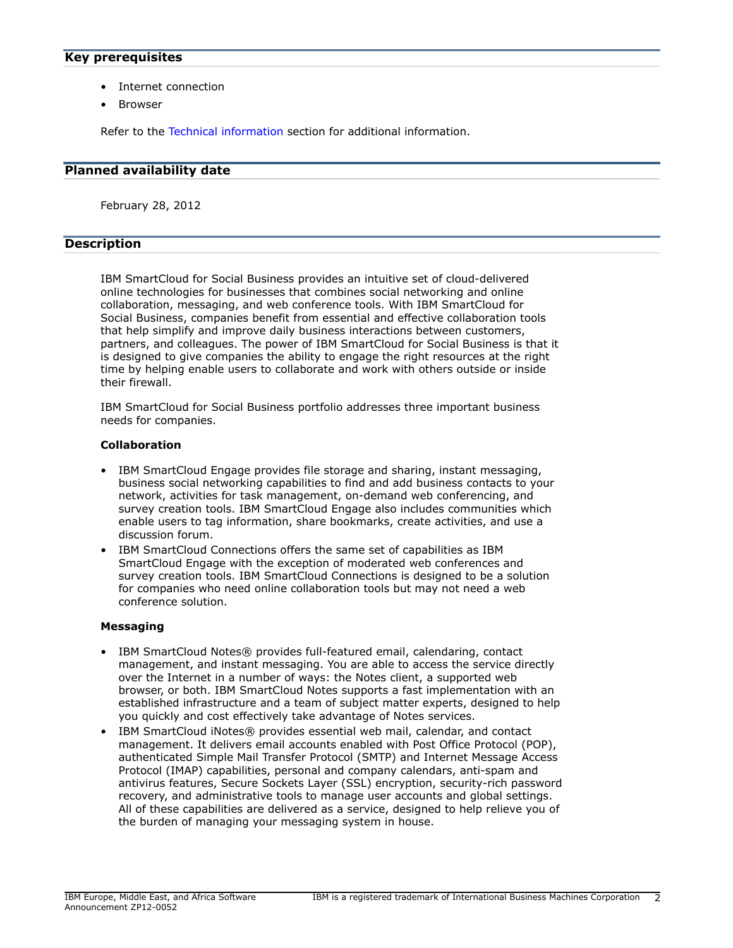## <span id="page-1-0"></span>**Key prerequisites**

- Internet connection
- **Browser**

Refer to the [Technical information](#page-3-0) section for additional information.

#### <span id="page-1-1"></span>**Planned availability date**

February 28, 2012

# <span id="page-1-2"></span>**Description**

IBM SmartCloud for Social Business provides an intuitive set of cloud-delivered online technologies for businesses that combines social networking and online collaboration, messaging, and web conference tools. With IBM SmartCloud for Social Business, companies benefit from essential and effective collaboration tools that help simplify and improve daily business interactions between customers, partners, and colleagues. The power of IBM SmartCloud for Social Business is that it is designed to give companies the ability to engage the right resources at the right time by helping enable users to collaborate and work with others outside or inside their firewall.

IBM SmartCloud for Social Business portfolio addresses three important business needs for companies.

## **Collaboration**

- IBM SmartCloud Engage provides file storage and sharing, instant messaging, business social networking capabilities to find and add business contacts to your network, activities for task management, on-demand web conferencing, and survey creation tools. IBM SmartCloud Engage also includes communities which enable users to tag information, share bookmarks, create activities, and use a discussion forum.
- IBM SmartCloud Connections offers the same set of capabilities as IBM SmartCloud Engage with the exception of moderated web conferences and survey creation tools. IBM SmartCloud Connections is designed to be a solution for companies who need online collaboration tools but may not need a web conference solution.

## **Messaging**

- IBM SmartCloud Notes® provides full-featured email, calendaring, contact management, and instant messaging. You are able to access the service directly over the Internet in a number of ways: the Notes client, a supported web browser, or both. IBM SmartCloud Notes supports a fast implementation with an established infrastructure and a team of subject matter experts, designed to help you quickly and cost effectively take advantage of Notes services.
- IBM SmartCloud iNotes® provides essential web mail, calendar, and contact management. It delivers email accounts enabled with Post Office Protocol (POP), authenticated Simple Mail Transfer Protocol (SMTP) and Internet Message Access Protocol (IMAP) capabilities, personal and company calendars, anti-spam and antivirus features, Secure Sockets Layer (SSL) encryption, security-rich password recovery, and administrative tools to manage user accounts and global settings. All of these capabilities are delivered as a service, designed to help relieve you of the burden of managing your messaging system in house.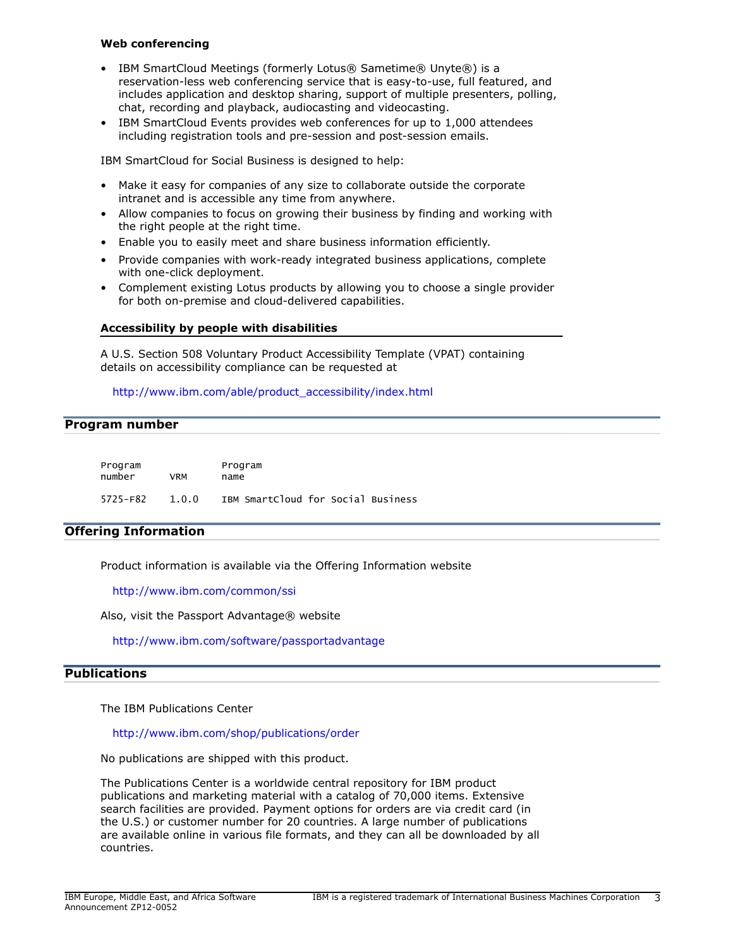## **Web conferencing**

- IBM SmartCloud Meetings (formerly Lotus® Sametime® Unyte®) is a reservation-less web conferencing service that is easy-to-use, full featured, and includes application and desktop sharing, support of multiple presenters, polling, chat, recording and playback, audiocasting and videocasting.
- IBM SmartCloud Events provides web conferences for up to 1,000 attendees including registration tools and pre-session and post-session emails.

IBM SmartCloud for Social Business is designed to help:

- Make it easy for companies of any size to collaborate outside the corporate intranet and is accessible any time from anywhere.
- Allow companies to focus on growing their business by finding and working with the right people at the right time.
- Enable you to easily meet and share business information efficiently.
- Provide companies with work-ready integrated business applications, complete with one-click deployment.
- Complement existing Lotus products by allowing you to choose a single provider for both on-premise and cloud-delivered capabilities.

## **Accessibility by people with disabilities**

A U.S. Section 508 Voluntary Product Accessibility Template (VPAT) containing details on accessibility compliance can be requested at

[http://www.ibm.com/able/product\\_accessibility/index.html](http://www.ibm.com/able/product_accessibility/index.html)

## <span id="page-2-0"></span>**Program number**

| Program<br>number | <b>VRM</b> | Program<br>name                    |  |
|-------------------|------------|------------------------------------|--|
| 5725-F82          | 1.0.0      | IBM SmartCloud for Social Business |  |

# **Offering Information**

Product information is available via the Offering Information website

<http://www.ibm.com/common/ssi>

Also, visit the Passport Advantage® website

<http://www.ibm.com/software/passportadvantage>

## <span id="page-2-1"></span>**Publications**

The IBM Publications Center

<http://www.ibm.com/shop/publications/order>

No publications are shipped with this product.

The Publications Center is a worldwide central repository for IBM product publications and marketing material with a catalog of 70,000 items. Extensive search facilities are provided. Payment options for orders are via credit card (in the U.S.) or customer number for 20 countries. A large number of publications are available online in various file formats, and they can all be downloaded by all countries.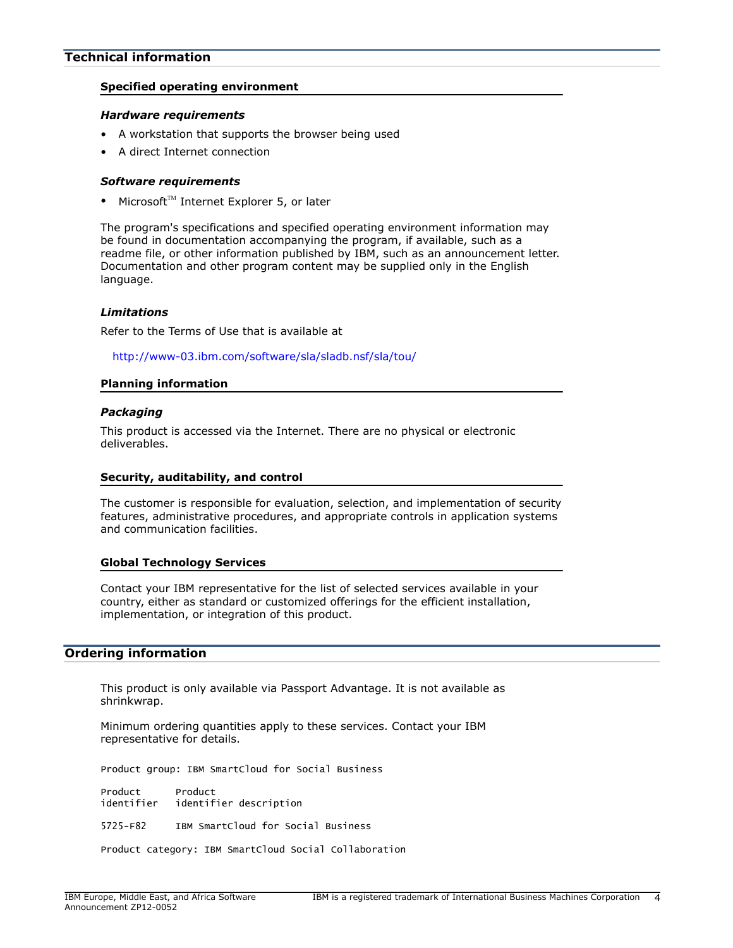## <span id="page-3-0"></span>**Technical information**

#### **Specified operating environment**

#### *Hardware requirements*

- A workstation that supports the browser being used
- A direct Internet connection

#### *Software requirements*

• Microsoft $T^M$  Internet Explorer 5, or later

The program's specifications and specified operating environment information may be found in documentation accompanying the program, if available, such as a readme file, or other information published by IBM, such as an announcement letter. Documentation and other program content may be supplied only in the English language.

#### *Limitations*

Refer to the Terms of Use that is available at

<http://www-03.ibm.com/software/sla/sladb.nsf/sla/tou/>

#### **Planning information**

#### *Packaging*

This product is accessed via the Internet. There are no physical or electronic deliverables.

#### **Security, auditability, and control**

The customer is responsible for evaluation, selection, and implementation of security features, administrative procedures, and appropriate controls in application systems and communication facilities.

#### **Global Technology Services**

Contact your IBM representative for the list of selected services available in your country, either as standard or customized offerings for the efficient installation, implementation, or integration of this product.

## <span id="page-3-1"></span>**Ordering information**

This product is only available via Passport Advantage. It is not available as shrinkwrap.

Minimum ordering quantities apply to these services. Contact your IBM representative for details.

Product group: IBM SmartCloud for Social Business

Product Product<br>identifier identif identifier description

5725-F82 IBM SmartCloud for Social Business

Product category: IBM SmartCloud Social Collaboration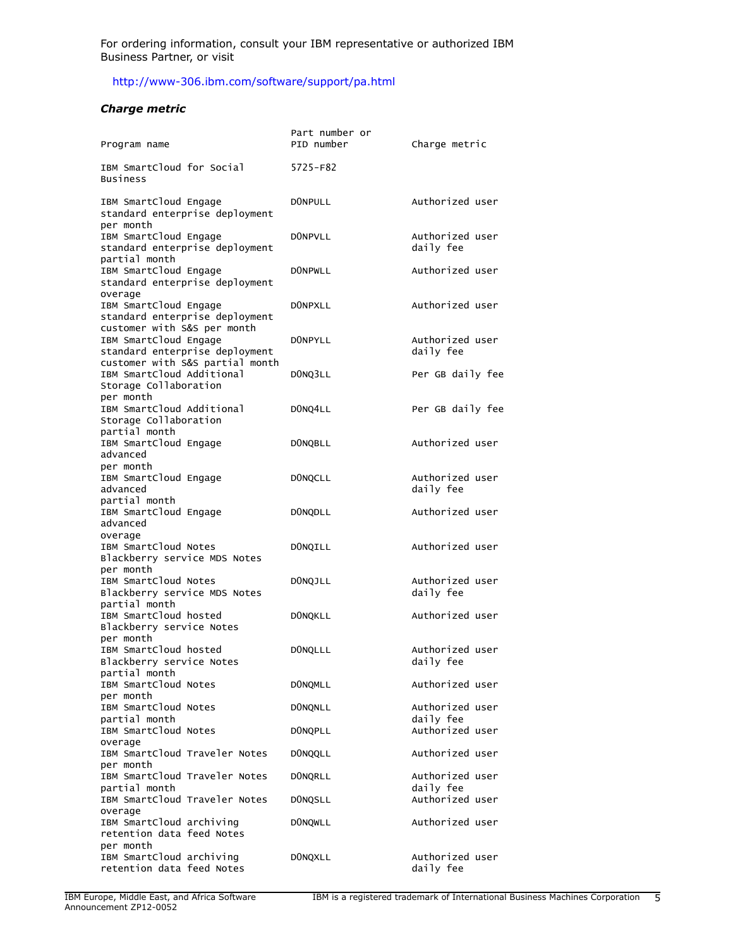For ordering information, consult your IBM representative or authorized IBM Business Partner, or visit

# <http://www-306.ibm.com/software/support/pa.html>

#### *Charge metric*

| Program name                                                                               | Part number or<br>PID number | Charge metric                |
|--------------------------------------------------------------------------------------------|------------------------------|------------------------------|
| IBM SmartCloud for Social<br>Business                                                      | 5725-F82                     |                              |
| IBM SmartCloud Engage<br>standard enterprise deployment<br>per month                       | <b>DONPULL</b>               | Authorized user              |
| IBM SmartCloud Engage<br>standard enterprise deployment<br>partial month                   | <b>DONPVLL</b>               | Authorized user<br>daily fee |
| IBM SmartCloud Engage<br>standard enterprise deployment<br>overage                         | <b>DONPWLL</b>               | Authorized user              |
| IBM SmartCloud Engage<br>standard enterprise deployment<br>customer with S&S per month     | <b>DONPXLL</b>               | Authorized user              |
| IBM SmartCloud Engage<br>standard enterprise deployment<br>customer with S&S partial month | <b>DONPYLL</b>               | Authorized user<br>daily fee |
| IBM SmartCloud Additional<br>Storage Collaboration<br>per month                            | DONQ3LL                      | Per GB daily fee             |
| IBM SmartCloud Additional<br>Storage Collaboration<br>partial month                        | DONQ4LL                      | Per GB daily fee             |
| IBM SmartCloud Engage<br>advanced<br>per month                                             | <b>DONQBLL</b>               | Authorized user              |
| IBM SmartCloud Engage<br>advanced<br>partial month                                         | <b>DONQCLL</b>               | Authorized user<br>daily fee |
| IBM SmartCloud Engage<br>advanced<br>overage                                               | DONQDLL                      | Authorized user              |
| IBM SmartCloud Notes<br>Blackberry service MDS Notes<br>per month                          | <b>DONQILL</b>               | Authorized user              |
| IBM SmartCloud Notes<br>Blackberry service MDS Notes<br>partial month                      | <b>DONQJLL</b>               | Authorized user<br>daily fee |
| IBM SmartCloud hosted<br>Blackberry service Notes<br>per month                             | <b>DONQKLL</b>               | Authorized user              |
| IBM SmartCloud hosted<br>Blackberry service Notes<br>partial month                         | <b>DONQLLL</b>               | Authorized user<br>daily fee |
| IBM SmartCloud Notes<br>per month                                                          | <b>DONQMLL</b>               | Authorized user              |
| IBM SmartCloud Notes<br>partial month                                                      | <b>DONQNLL</b>               | Authorized user<br>daily fee |
| IBM SmartCloud Notes<br>overage                                                            | DONQPLL                      | Authorized user              |
| IBM SmartCloud Traveler Notes<br>per month                                                 | <b>DONQQLL</b>               | Authorized user              |
| IBM SmartCloud Traveler Notes<br>partial month                                             | <b>DONQRLL</b>               | Authorized user<br>daily fee |
| IBM SmartCloud Traveler Notes<br>overage                                                   | <b>DONQSLL</b>               | Authorized user              |
| IBM SmartCloud archiving<br>retention data feed Notes<br>per month                         | <b>DONQWLL</b>               | Authorized user              |
| IBM SmartCloud archiving<br>retention data feed Notes                                      | DONQXLL                      | Authorized user<br>daily fee |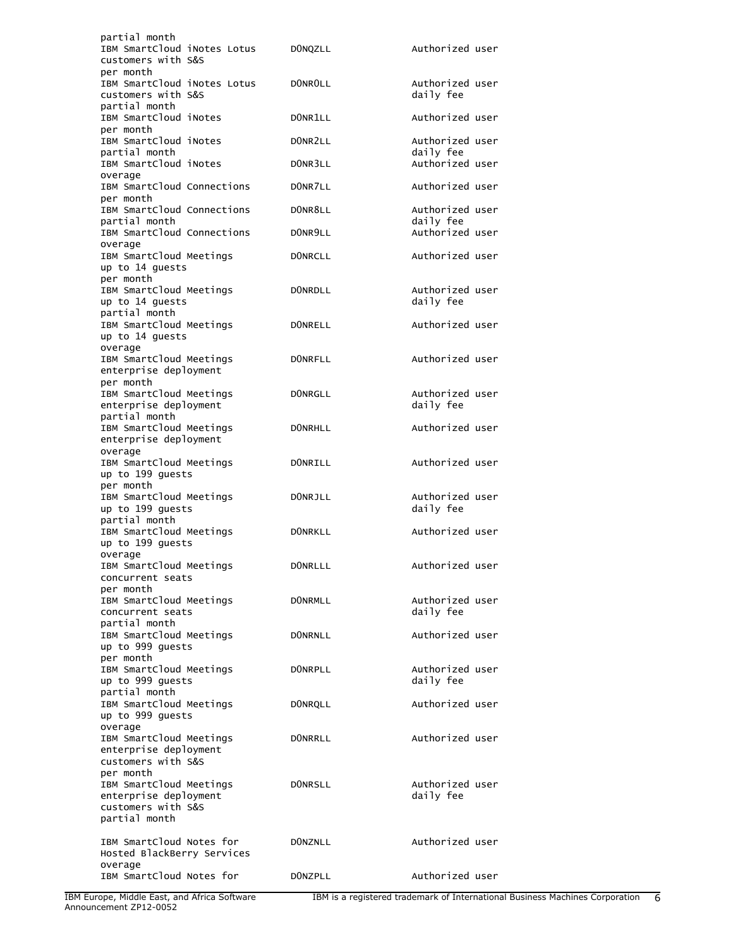| partial month<br>IBM SmartCloud iNotes Lotus<br>customers with S&S                                   | DONQZLL        | Authorized user              |
|------------------------------------------------------------------------------------------------------|----------------|------------------------------|
| per month<br>IBM SmartCloud iNotes Lotus<br>customers with S&S                                       | DONROLL        | Authorized user<br>daily fee |
| partial month<br>IBM SmartCloud iNotes<br>per month                                                  | DONR1LL        | Authorized user              |
| IBM SmartCloud iNotes<br>partial month                                                               | DONR2LL        | Authorized user<br>daily fee |
| IBM SmartCloud iNotes<br>overage                                                                     | DONR3LL        | Authorized user              |
| IBM SmartCloud Connections<br>per month                                                              | DONR7LL        | Authorized user              |
| IBM SmartCloud Connections<br>partial month                                                          | DONR8LL        | Authorized user<br>daily fee |
| IBM SmartCloud Connections<br>overage                                                                | DONR9LL        | Authorized user              |
| IBM SmartCloud Meetings<br>up to 14 guests<br>per month                                              | <b>DONRCLL</b> | Authorized user              |
| IBM SmartCloud Meetings<br>up to 14 guests<br>partial month                                          | <b>DONRDLL</b> | Authorized user<br>daily fee |
| IBM SmartCloud Meetings<br>up to 14 guests<br>overage                                                | <b>DONRELL</b> | Authorized user              |
| IBM SmartCloud Meetings<br>enterprise deployment<br>per month                                        | <b>DONRFLL</b> | Authorized user              |
| IBM SmartCloud Meetings<br>enterprise deployment<br>partial month                                    | <b>DONRGLL</b> | Authorized user<br>daily fee |
| IBM SmartCloud Meetings<br>enterprise deployment                                                     | <b>DONRHLL</b> | Authorized user              |
| overage<br>IBM SmartCloud Meetings<br>up to 199 guests                                               | <b>DONRILL</b> | Authorized user              |
| per month<br>IBM SmartCloud Meetings<br>up to 199 guests                                             | DONRJLL        | Authorized user<br>daily fee |
| partial month<br>IBM SmartCloud Meetings<br>up to 199 guests                                         | <b>DONRKLL</b> | Authorized user              |
| overage<br>IBM SmartCloud Meetings<br>concurrent seats                                               | DONRLLL        | Authorized user              |
| per month<br>IBM SmartCloud Meetings<br>concurrent seats                                             | <b>DONRMLL</b> | Authorized user<br>daily fee |
| partial month<br>IBM SmartCloud Meetings<br>up to 999 guests                                         | <b>DONRNLL</b> | Authorized user              |
| per month<br>IBM SmartCloud Meetings<br>up to 999 guests                                             | <b>DONRPLL</b> | Authorized user<br>daily fee |
| partial month<br>IBM SmartCloud Meetings<br>up to 999 guests                                         | <b>DONRQLL</b> | Authorized user              |
| overage<br>IBM SmartCloud Meetings<br>enterprise deployment<br>customers with S&S                    | <b>DONRRLL</b> | Authorized user              |
| per month<br>IBM SmartCloud Meetings<br>enterprise deployment<br>customers with S&S<br>partial month | <b>DONRSLL</b> | Authorized user<br>daily fee |
| IBM SmartCloud Notes for<br>Hosted BlackBerry Services<br>overage                                    | DONZNLL        | Authorized user              |
| IBM SmartCloud Notes for                                                                             | DONZPLL        | Authorized user              |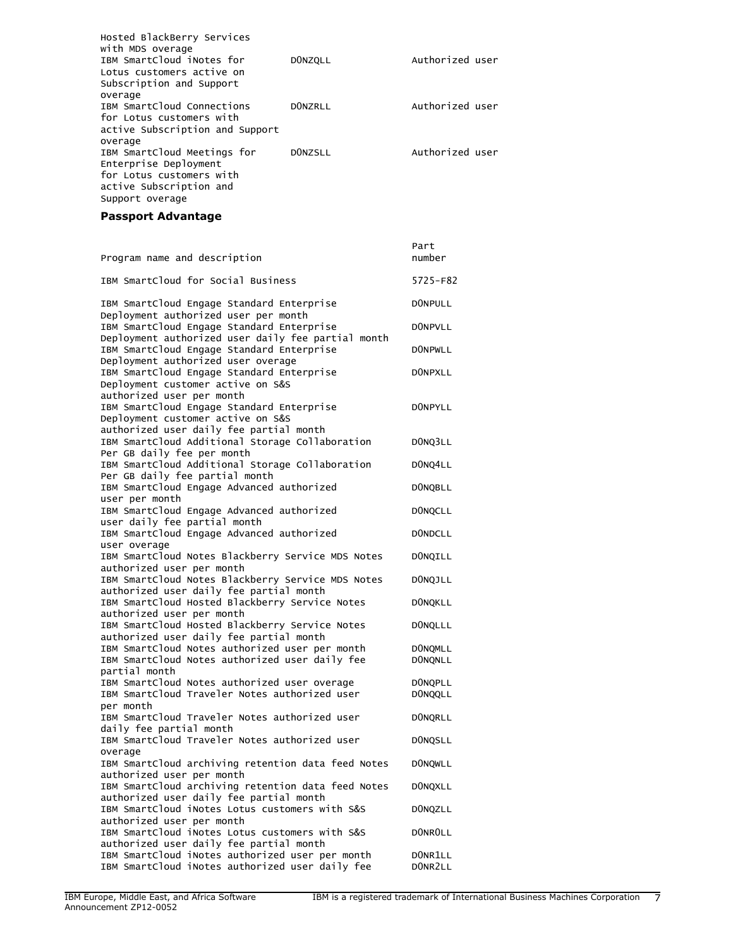| Hosted BlackBerry Services<br>with MDS overage<br>IBM SmartCloud iNotes for<br>Lotus customers active on<br>Subscription and Support | <b>DONZQLL</b> | Authorized user |
|--------------------------------------------------------------------------------------------------------------------------------------|----------------|-----------------|
| overage<br>IBM SmartCloud Connections<br>for Lotus customers with<br>active Subscription and Support<br>overage                      | DONZRLL        | Authorized user |
| IBM SmartCloud Meetings for<br>Enterprise Deployment<br>for Lotus customers with<br>active Subscription and<br>Support overage       | DONZSLL        | Authorized user |

# **Passport Advantage**

| Program name and description                                                                                             | Part<br>number                   |
|--------------------------------------------------------------------------------------------------------------------------|----------------------------------|
| IBM SmartCloud for Social Business                                                                                       | 5725-F82                         |
| IBM SmartCloud Engage Standard Enterprise<br>Deployment authorized user per month                                        | <b>DONPULL</b>                   |
| IBM SmartCloud Engage Standard Enterprise<br>Deployment authorized user daily fee partial month                          | <b>DONPVLL</b>                   |
| IBM SmartCloud Engage Standard Enterprise<br>Deployment authorized user overage                                          | <b>DONPWLL</b>                   |
| IBM SmartCloud Engage Standard Enterprise<br>Deployment customer active on S&S<br>authorized user per month              | DONPXLL                          |
| IBM SmartCloud Engage Standard Enterprise<br>Deployment customer active on S&S                                           | DONPYLL                          |
| authorized user daily fee partial month<br>IBM SmartCloud Additional Storage Collaboration<br>Per GB daily fee per month | DONQ3LL                          |
| IBM SmartCloud Additional Storage Collaboration<br>Per GB daily fee partial month                                        | DONQ4LL                          |
| IBM SmartCloud Engage Advanced authorized<br>user per month                                                              | <b>DONQBLL</b>                   |
| IBM SmartCloud Engage Advanced authorized<br>user daily fee partial month                                                | <b>DONQCLL</b>                   |
| IBM SmartCloud Engage Advanced authorized<br>user overage                                                                | <b>DONDCLL</b>                   |
| IBM SmartCloud Notes Blackberry Service MDS Notes<br>authorized user per month                                           | <b>DONQILL</b>                   |
| IBM SmartCloud Notes Blackberry Service MDS Notes<br>authorized user daily fee partial month                             | <b>DONQJLL</b>                   |
| IBM SmartCloud Hosted Blackberry Service Notes<br>authorized user per month                                              | <b>DONQKLL</b>                   |
| IBM SmartCloud Hosted Blackberry Service Notes<br>authorized user daily fee partial month                                | <b>DONQLLL</b>                   |
| IBM SmartCloud Notes authorized user per month<br>IBM SmartCloud Notes authorized user daily fee<br>partial month        | <b>DONQMLL</b><br><b>DONQNLL</b> |
| IBM SmartCloud Notes authorized user overage<br>IBM SmartCloud Traveler Notes authorized user<br>per month               | DONQPLL<br><b>DONQQLL</b>        |
| IBM SmartCloud Traveler Notes authorized user<br>daily fee partial month                                                 | <b>DONQRLL</b>                   |
| IBM SmartCloud Traveler Notes authorized user<br>overage                                                                 | DONQSLL                          |
| IBM SmartCloud archiving retention data feed Notes<br>authorized user per month                                          | <b>DONQWLL</b>                   |
| IBM SmartCloud archiving retention data feed Notes<br>authorized user daily fee partial month                            | <b>DONQXLL</b>                   |
| IBM SmartCloud iNotes Lotus customers with S&S<br>authorized user per month                                              | <b>DONQZLL</b>                   |
| IBM SmartCloud iNotes Lotus customers with S&S<br>authorized user daily fee partial month                                | <b>DONROLL</b>                   |
| IBM SmartCloud iNotes authorized user per month<br>IBM SmartCloud iNotes authorized user daily fee                       | DONR1LL<br>DONR2LL               |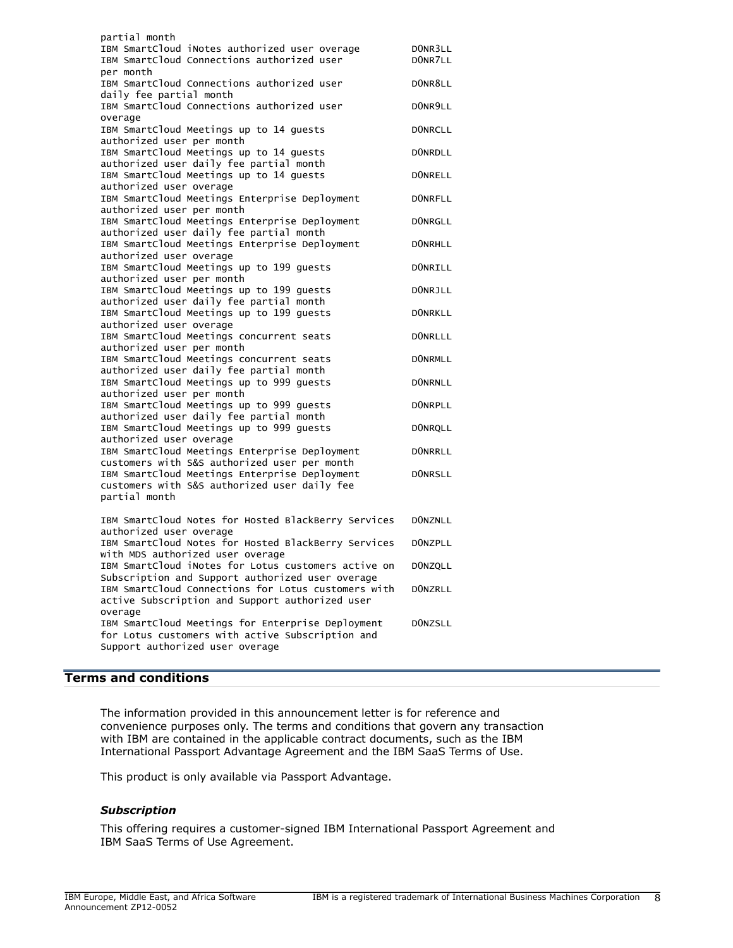| partial month<br>IBM SmartCloud iNotes authorized user overage<br>IBM SmartCloud Connections authorized user                             | DONR3LL<br>DONR7LL               |
|------------------------------------------------------------------------------------------------------------------------------------------|----------------------------------|
| per month<br>IBM SmartCloud Connections authorized user                                                                                  | DONR8LL                          |
| daily fee partial month<br>IBM SmartCloud Connections authorized user<br>overage                                                         | DONR9LL                          |
| IBM SmartCloud Meetings up to 14 quests<br>authorized user per month                                                                     | <b>DONRCLL</b>                   |
| IBM SmartCloud Meetings up to 14 guests<br>authorized user daily fee partial month                                                       | <b>DONRDLL</b>                   |
| IBM SmartCloud Meetings up to 14 guests<br>authorized user overage                                                                       | <b>DONRELL</b>                   |
| IBM SmartCloud Meetings Enterprise Deployment<br>authorized user per month                                                               | <b>DONRFLL</b>                   |
| IBM SmartCloud Meetings Enterprise Deployment<br>authorized user daily fee partial month                                                 | <b>DONRGLL</b>                   |
| IBM SmartCloud Meetings Enterprise Deployment<br>authorized user overage                                                                 | <b>DONRHLL</b>                   |
| IBM SmartCloud Meetings up to 199 quests<br>authorized user per month<br>IBM SmartCloud Meetings up to 199 guests                        | <b>DONRILL</b><br><b>DONRJLL</b> |
| authorized user daily fee partial month<br>IBM SmartCloud Meetings up to 199 guests                                                      | <b>DONRKLL</b>                   |
| authorized user overage<br>IBM SmartCloud Meetings concurrent seats                                                                      | <b>DONRLLL</b>                   |
| authorized user per month<br>IBM SmartCloud Meetings concurrent seats                                                                    | <b>DONRMLL</b>                   |
| authorized user daily fee partial month<br>IBM SmartCloud Meetings up to 999 guests                                                      | <b>DONRNLL</b>                   |
| authorized user per month<br>IBM SmartCloud Meetings up to 999 guests                                                                    | <b>DONRPLL</b>                   |
| authorized user daily fee partial month<br>IBM SmartCloud Meetings up to 999 guests<br>authorized user overage                           | <b>DONRQLL</b>                   |
| IBM SmartCloud Meetings Enterprise Deployment<br>customers with S&S authorized user per month                                            | <b>DONRRLL</b>                   |
| IBM SmartCloud Meetings Enterprise Deployment<br>customers with S&S authorized user daily fee<br>partial month                           | <b>DONRSLL</b>                   |
| IBM SmartCloud Notes for Hosted BlackBerry Services                                                                                      | <b>DONZNLL</b>                   |
| authorized user overage<br>IBM SmartCloud Notes for Hosted BlackBerry Services<br>with MDS authorized user overage                       | <b>DONZPLL</b>                   |
| IBM SmartCloud iNotes for Lotus customers active on<br>Subscription and Support authorized user overage                                  | <b>DONZQLL</b>                   |
| IBM SmartCloud Connections for Lotus customers with<br>active Subscription and Support authorized user<br>overage                        | <b>DONZRLL</b>                   |
| IBM SmartCloud Meetings for Enterprise Deployment<br>for Lotus customers with active Subscription and<br>Support authorized user overage | <b>DONZSLL</b>                   |

# <span id="page-7-0"></span>**Terms and conditions**

The information provided in this announcement letter is for reference and convenience purposes only. The terms and conditions that govern any transaction with IBM are contained in the applicable contract documents, such as the IBM International Passport Advantage Agreement and the IBM SaaS Terms of Use.

This product is only available via Passport Advantage.

# *Subscription*

This offering requires a customer-signed IBM International Passport Agreement and IBM SaaS Terms of Use Agreement.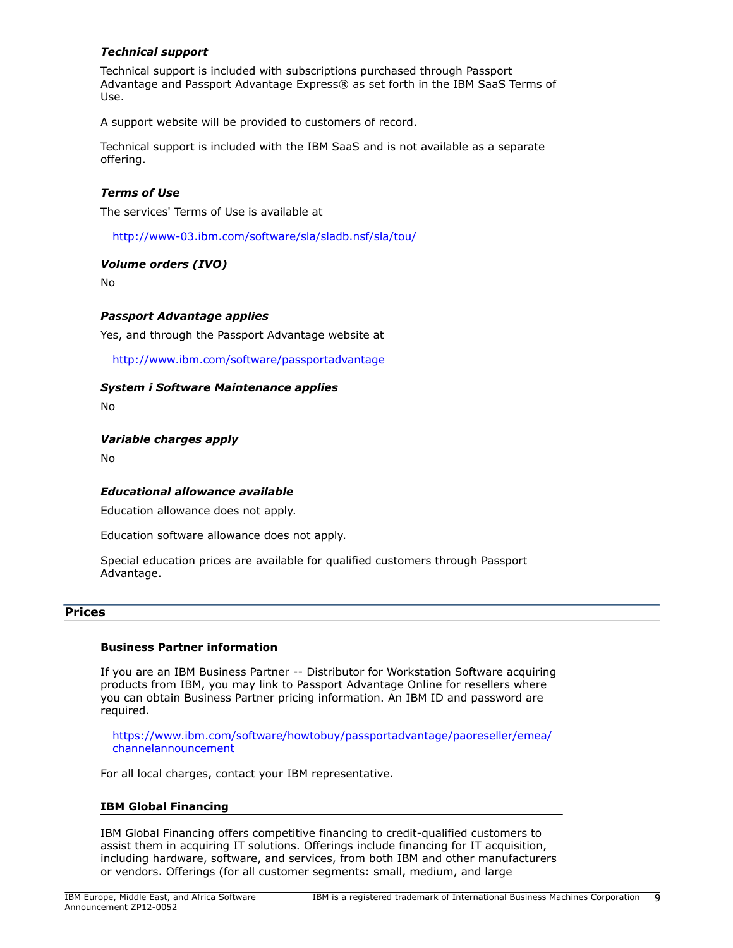# *Technical support*

Technical support is included with subscriptions purchased through Passport Advantage and Passport Advantage Express® as set forth in the IBM SaaS Terms of Use.

A support website will be provided to customers of record.

Technical support is included with the IBM SaaS and is not available as a separate offering.

# *Terms of Use*

The services' Terms of Use is available at

<http://www-03.ibm.com/software/sla/sladb.nsf/sla/tou/>

## *Volume orders (IVO)*

No

## *Passport Advantage applies*

Yes, and through the Passport Advantage website at

<http://www.ibm.com/software/passportadvantage>

## *System i Software Maintenance applies*

No

## *Variable charges apply*

No

## *Educational allowance available*

Education allowance does not apply.

Education software allowance does not apply.

Special education prices are available for qualified customers through Passport Advantage.

# <span id="page-8-0"></span>**Prices**

# **Business Partner information**

If you are an IBM Business Partner -- Distributor for Workstation Software acquiring products from IBM, you may link to Passport Advantage Online for resellers where you can obtain Business Partner pricing information. An IBM ID and password are required.

[https://www.ibm.com/software/howtobuy/passportadvantage/paoreseller/emea/](https://www.ibm.com/software/howtobuy/passportadvantage/paoreseller/emea/channelannouncement) [channelannouncement](https://www.ibm.com/software/howtobuy/passportadvantage/paoreseller/emea/channelannouncement)

For all local charges, contact your IBM representative.

## **IBM Global Financing**

IBM Global Financing offers competitive financing to credit-qualified customers to assist them in acquiring IT solutions. Offerings include financing for IT acquisition, including hardware, software, and services, from both IBM and other manufacturers or vendors. Offerings (for all customer segments: small, medium, and large